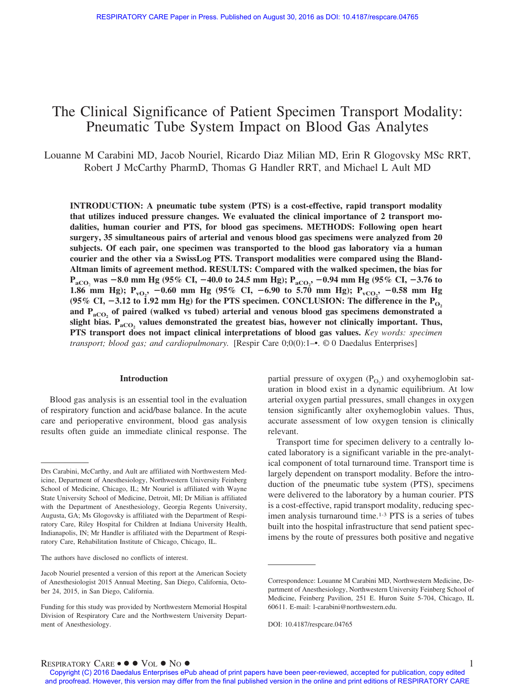# The Clinical Significance of Patient Specimen Transport Modality: Pneumatic Tube System Impact on Blood Gas Analytes

Louanne M Carabini MD, Jacob Nouriel, Ricardo Diaz Milian MD, Erin R Glogovsky MSc RRT, Robert J McCarthy PharmD, Thomas G Handler RRT, and Michael L Ault MD

**INTRODUCTION: A pneumatic tube system (PTS) is a cost-effective, rapid transport modality that utilizes induced pressure changes. We evaluated the clinical importance of 2 transport modalities, human courier and PTS, for blood gas specimens. METHODS: Following open heart surgery, 35 simultaneous pairs of arterial and venous blood gas specimens were analyzed from 20 subjects. Of each pair, one specimen was transported to the blood gas laboratory via a human courier and the other via a SwissLog PTS. Transport modalities were compared using the Bland-Altman limits of agreement method. RESULTS: Compared with the walked specimen, the bias for PaCO**<sup>2</sup> **was** -**8.0 mm Hg (95% CI,** -**40.0 to 24.5 mm Hg); PaCO2 ,** -**0.94 mm Hg (95% CI,** -**3.76 to 1.86 mm Hg); P<sub>vO2</sub>, -0.60 mm Hg (95% CI, -6.90 to 5.70 mm Hg); P<sub>vCO2</sub>, -0.58 mm Hg** (95% CI,  $-3.12$  to 1.92 mm Hg) for the PTS specimen. CONCLUSION: The difference in the  $\rm{P_{O_2}}$ and P<sub>aCO<sub>2</sub> of paired (walked vs tubed) arterial and venous blood gas specimens demonstrated a</sub> slight bias. P<sub>aCO</sub>, values demonstrated the greatest bias, however not clinically important. Thus, **PTS transport does not impact clinical interpretations of blood gas values.** *Key words: specimen transport; blood gas; and cardiopulmonary.* [Respir Care 0;0(0):1–•. © 0 Daedalus Enterprises]

#### **Introduction**

Blood gas analysis is an essential tool in the evaluation of respiratory function and acid/base balance. In the acute care and perioperative environment, blood gas analysis results often guide an immediate clinical response. The

The authors have disclosed no conflicts of interest.

partial pressure of oxygen  $(P_{O_2})$  and oxyhemoglobin saturation in blood exist in a dynamic equilibrium. At low arterial oxygen partial pressures, small changes in oxygen tension significantly alter oxyhemoglobin values. Thus, accurate assessment of low oxygen tension is clinically relevant.

Transport time for specimen delivery to a centrally located laboratory is a significant variable in the pre-analytical component of total turnaround time. Transport time is largely dependent on transport modality. Before the introduction of the pneumatic tube system (PTS), specimens were delivered to the laboratory by a human courier. PTS is a cost-effective, rapid transport modality, reducing specimen analysis turnaround time.<sup>1-3</sup> PTS is a series of tubes built into the hospital infrastructure that send patient specimens by the route of pressures both positive and negative

 $R$ ESPIRATORY  $C$ ARE •  $\bullet \bullet \text{Vol} \bullet \text{No} \bullet$ 

Drs Carabini, McCarthy, and Ault are affiliated with Northwestern Medicine, Department of Anesthesiology, Northwestern University Feinberg School of Medicine, Chicago, IL; Mr Nouriel is affiliated with Wayne State University School of Medicine, Detroit, MI; Dr Milian is affiliated with the Department of Anesthesiology, Georgia Regents University, Augusta, GA; Ms Glogovsky is affiliated with the Department of Respiratory Care, Riley Hospital for Children at Indiana University Health, Indianapolis, IN; Mr Handler is affiliated with the Department of Respiratory Care, Rehabilitation Institute of Chicago, Chicago, IL.

Jacob Nouriel presented a version of this report at the American Society of Anesthesiologist 2015 Annual Meeting, San Diego, California, October 24, 2015, in San Diego, California.

Funding for this study was provided by Northwestern Memorial Hospital Division of Respiratory Care and the Northwestern University Department of Anesthesiology.

Correspondence: Louanne M Carabini MD, Northwestern Medicine, Department of Anesthesiology, Northwestern University Feinberg School of Medicine, Feinberg Pavilion, 251 E. Huron Suite 5-704, Chicago, IL 60611. E-mail: l-carabini@northwestern.edu.

DOI: 10.4187/respcare.04765

Copyright (C) 2016 Daedalus Enterprises ePub ahead of print papers have been peer-reviewed, accepted for publication, copy edited and proofread. However, this version may differ from the final published version in the online and print editions of RESPIRATORY CARE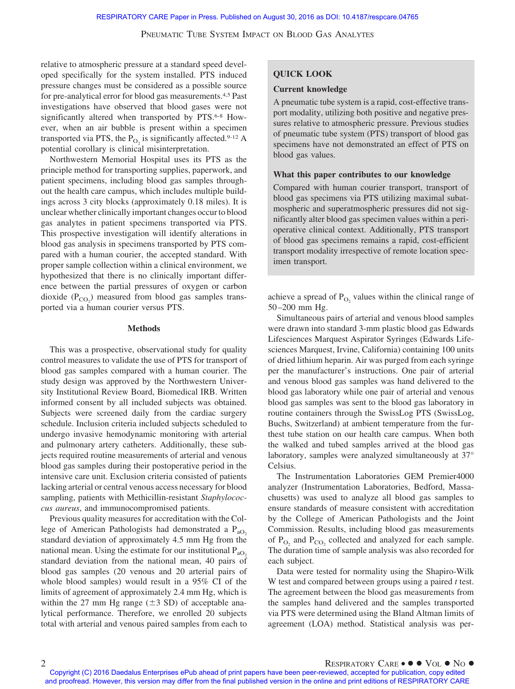## PNEUMATIC TUBE SYSTEM IMPACT ON BLOOD GAS ANALYTES

relative to atmospheric pressure at a standard speed developed specifically for the system installed. PTS induced pressure changes must be considered as a possible source for pre-analytical error for blood gas measurements.4,5 Past investigations have observed that blood gases were not significantly altered when transported by PTS.<sup>6-8</sup> However, when an air bubble is present within a specimen transported via PTS, the  $P_{O_2}$  is significantly affected.<sup>9-12</sup> A potential corollary is clinical misinterpretation.

Northwestern Memorial Hospital uses its PTS as the principle method for transporting supplies, paperwork, and patient specimens, including blood gas samples throughout the health care campus, which includes multiple buildings across 3 city blocks (approximately 0.18 miles). It is unclear whether clinically important changes occur to blood gas analytes in patient specimens transported via PTS. This prospective investigation will identify alterations in blood gas analysis in specimens transported by PTS compared with a human courier, the accepted standard. With proper sample collection within a clinical environment, we hypothesized that there is no clinically important difference between the partial pressures of oxygen or carbon dioxide  $(P_{CO_2})$  measured from blood gas samples transported via a human courier versus PTS.

### **Methods**

This was a prospective, observational study for quality control measures to validate the use of PTS for transport of blood gas samples compared with a human courier. The study design was approved by the Northwestern University Institutional Review Board, Biomedical IRB. Written informed consent by all included subjects was obtained. Subjects were screened daily from the cardiac surgery schedule. Inclusion criteria included subjects scheduled to undergo invasive hemodynamic monitoring with arterial and pulmonary artery catheters. Additionally, these subjects required routine measurements of arterial and venous blood gas samples during their postoperative period in the intensive care unit. Exclusion criteria consisted of patients lacking arterial or central venous access necessary for blood sampling, patients with Methicillin-resistant *Staphylococcus aureus*, and immunocompromised patients.

Previous quality measures for accreditation with the College of American Pathologists had demonstrated a  $P_{aO_2}$ standard deviation of approximately 4.5 mm Hg from the national mean. Using the estimate for our institutional  $P_{aO}$ . standard deviation from the national mean, 40 pairs of blood gas samples (20 venous and 20 arterial pairs of whole blood samples) would result in a 95% CI of the limits of agreement of approximately 2.4 mm Hg, which is within the 27 mm Hg range  $(\pm 3 \text{ SD})$  of acceptable analytical performance. Therefore, we enrolled 20 subjects total with arterial and venous paired samples from each to

# **QUICK LOOK**

#### **Current knowledge**

A pneumatic tube system is a rapid, cost-effective transport modality, utilizing both positive and negative pressures relative to atmospheric pressure. Previous studies of pneumatic tube system (PTS) transport of blood gas specimens have not demonstrated an effect of PTS on blood gas values.

#### **What this paper contributes to our knowledge**

Compared with human courier transport, transport of blood gas specimens via PTS utilizing maximal subatmospheric and superatmospheric pressures did not significantly alter blood gas specimen values within a perioperative clinical context. Additionally, PTS transport of blood gas specimens remains a rapid, cost-efficient transport modality irrespective of remote location specimen transport.

achieve a spread of  $P_{O<sub>2</sub>}$  values within the clinical range of 50 –200 mm Hg.

Simultaneous pairs of arterial and venous blood samples were drawn into standard 3-mm plastic blood gas Edwards Lifesciences Marquest Aspirator Syringes (Edwards Lifesciences Marquest, Irvine, California) containing 100 units of dried lithium heparin. Air was purged from each syringe per the manufacturer's instructions. One pair of arterial and venous blood gas samples was hand delivered to the blood gas laboratory while one pair of arterial and venous blood gas samples was sent to the blood gas laboratory in routine containers through the SwissLog PTS (SwissLog, Buchs, Switzerland) at ambient temperature from the furthest tube station on our health care campus. When both the walked and tubed samples arrived at the blood gas laboratory, samples were analyzed simultaneously at 37° Celsius.

The Instrumentation Laboratories GEM Premier4000 analyzer (Instrumentation Laboratories, Bedford, Massachusetts) was used to analyze all blood gas samples to ensure standards of measure consistent with accreditation by the College of American Pathologists and the Joint Commission. Results, including blood gas measurements of  $P_{\text{O}_2}$  and  $P_{\text{CO}_2}$  collected and analyzed for each sample. The duration time of sample analysis was also recorded for each subject.

Data were tested for normality using the Shapiro-Wilk W test and compared between groups using a paired *t* test. The agreement between the blood gas measurements from the samples hand delivered and the samples transported via PTS were determined using the Bland Altman limits of agreement (LOA) method. Statistical analysis was per-

Copyright (C) 2016 Daedalus Enterprises ePub ahead of print papers have been peer-reviewed, accepted for publication, copy edited and proofread. However, this version may differ from the final published version in the online and print editions of RESPIRATORY CARE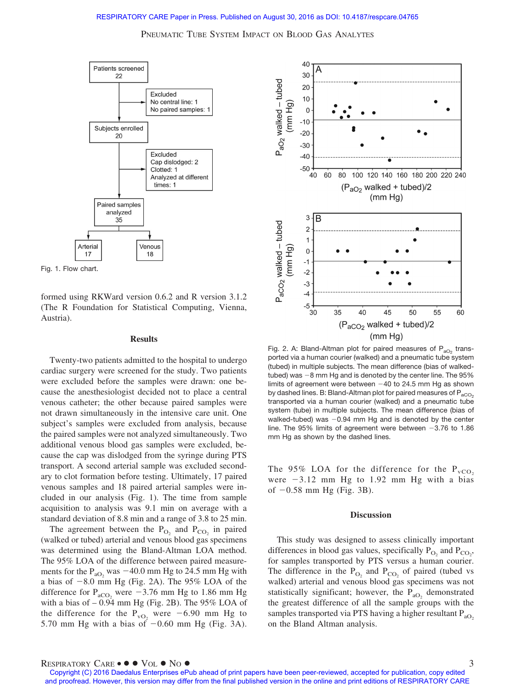# RESPIRATORY CARE Paper in Press. Published on August 30, 2016 as DOI: 10.4187/respcare.04765

PNEUMATIC TUBE SYSTEM IMPACT ON BLOOD GAS ANALYTES





formed using RKWard version 0.6.2 and R version 3.1.2 (The R Foundation for Statistical Computing, Vienna, Austria).

#### **Results**

Twenty-two patients admitted to the hospital to undergo cardiac surgery were screened for the study. Two patients were excluded before the samples were drawn: one because the anesthesiologist decided not to place a central venous catheter; the other because paired samples were not drawn simultaneously in the intensive care unit. One subject's samples were excluded from analysis, because the paired samples were not analyzed simultaneously. Two additional venous blood gas samples were excluded, because the cap was dislodged from the syringe during PTS transport. A second arterial sample was excluded secondary to clot formation before testing. Ultimately, 17 paired venous samples and 18 paired arterial samples were included in our analysis (Fig. 1). The time from sample acquisition to analysis was 9.1 min on average with a standard deviation of 8.8 min and a range of 3.8 to 25 min.

The agreement between the  $P_{O_2}$  and  $P_{CO_2}$  in paired (walked or tubed) arterial and venous blood gas specimens was determined using the Bland-Altman LOA method. The 95% LOA of the difference between paired measurements for the  $P_{aO_2}$  was  $-40.0$  mm Hg to 24.5 mm Hg with a bias of  $-8.0$  mm Hg (Fig. 2A). The 95% LOA of the difference for  $P_{\text{aCO}}$ , were  $-3.76$  mm Hg to 1.86 mm Hg with a bias of  $-0.94$  mm Hg (Fig. 2B). The 95% LOA of the difference for the  $P_{vO_2}$  were  $-6.90$  mm Hg to 5.70 mm Hg with a bias of  $-0.60$  mm Hg (Fig. 3A).



Fig. 2. A: Bland-Altman plot for paired measures of  $P_{aO_2}$  transported via a human courier (walked) and a pneumatic tube system (tubed) in multiple subjects. The mean difference (bias of walkedtubed) was  $-8$  mm Hg and is denoted by the center line. The  $95%$ limits of agreement were between  $-40$  to 24.5 mm Hg as shown by dashed lines. B: Bland-Altman plot for paired measures of  $P_{aCO_2}$ transported via a human courier (walked) and a pneumatic tube system (tube) in multiple subjects. The mean difference (bias of walked-tubed) was  $-0.94$  mm Hg and is denoted by the center line. The 95% limits of agreement were between  $-3.76$  to 1.86 mm Hg as shown by the dashed lines.

The 95% LOA for the difference for the  $P_{vCO_2}$ were  $-3.12$  mm Hg to 1.92 mm Hg with a bias of  $-0.58$  mm Hg (Fig. 3B).

#### **Discussion**

This study was designed to assess clinically important differences in blood gas values, specifically  $P_{O_2}$  and  $P_{CO_2}$ , for samples transported by PTS versus a human courier. The difference in the  $P_{\text{O}_2}$  and  $P_{\text{CO}_2}$  of paired (tubed vs walked) arterial and venous blood gas specimens was not statistically significant; however, the  $P_{aO_2}$  demonstrated the greatest difference of all the sample groups with the samples transported via PTS having a higher resultant  $P_{aO}$ . on the Bland Altman analysis.

Copyright (C) 2016 Daedalus Enterprises ePub ahead of print papers have been peer-reviewed, accepted for publication, copy edited and proofread. However, this version may differ from the final published version in the online and print editions of RESPIRATORY CARE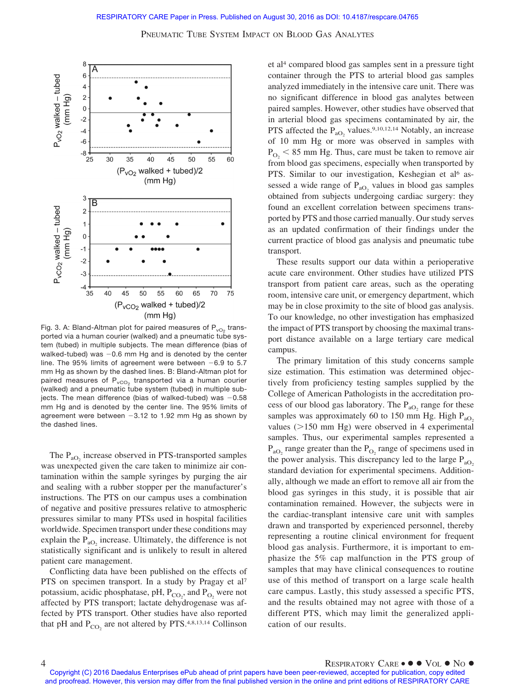PNEUMATIC TUBE SYSTEM IMPACT ON BLOOD GAS ANALYTES



Fig. 3. A: Bland-Altman plot for paired measures of  $P_{vO_2}$  transported via a human courier (walked) and a pneumatic tube system (tubed) in multiple subjects. The mean difference (bias of walked-tubed) was  $-0.6$  mm Hg and is denoted by the center line. The 95% limits of agreement were between  $-6.9$  to 5.7 mm Hg as shown by the dashed lines. B: Bland-Altman plot for paired measures of  $P_{vCO_2}$  transported via a human courier (walked) and a pneumatic tube system (tubed) in multiple subjects. The mean difference (bias of walked-tubed) was  $-0.58$ mm Hg and is denoted by the center line. The 95% limits of agreement were between  $-3.12$  to 1.92 mm Hg as shown by the dashed lines.

The  $P_{aO_2}$  increase observed in PTS-transported samples was unexpected given the care taken to minimize air contamination within the sample syringes by purging the air and sealing with a rubber stopper per the manufacturer's instructions. The PTS on our campus uses a combination of negative and positive pressures relative to atmospheric pressures similar to many PTSs used in hospital facilities worldwide. Specimen transport under these conditions may explain the  $P_{aO_2}$  increase. Ultimately, the difference is not statistically significant and is unlikely to result in altered patient care management.

Conflicting data have been published on the effects of PTS on specimen transport. In a study by Pragay et al<sup>7</sup> potassium, acidic phosphatase, pH,  $P_{CO_2}$ , and  $P_{O_2}$  were not affected by PTS transport; lactate dehydrogenase was affected by PTS transport. Other studies have also reported that pH and  $P_{CO_2}$  are not altered by PTS.<sup>4,8,13,14</sup> Collinson et al4 compared blood gas samples sent in a pressure tight container through the PTS to arterial blood gas samples analyzed immediately in the intensive care unit. There was no significant difference in blood gas analytes between paired samples. However, other studies have observed that in arterial blood gas specimens contaminated by air, the PTS affected the  $P_{aO_2}$  values.<sup>9,10,12,14</sup> Notably, an increase of 10 mm Hg or more was observed in samples with  $P_{\text{O}_2}$  < 85 mm Hg. Thus, care must be taken to remove air from blood gas specimens, especially when transported by PTS. Similar to our investigation, Keshegian et al<sup>6</sup> assessed a wide range of  $P_{aO_2}$  values in blood gas samples obtained from subjects undergoing cardiac surgery: they found an excellent correlation between specimens transported by PTS and those carried manually. Our study serves as an updated confirmation of their findings under the current practice of blood gas analysis and pneumatic tube transport.

These results support our data within a perioperative acute care environment. Other studies have utilized PTS transport from patient care areas, such as the operating room, intensive care unit, or emergency department, which may be in close proximity to the site of blood gas analysis. To our knowledge, no other investigation has emphasized the impact of PTS transport by choosing the maximal transport distance available on a large tertiary care medical campus.

The primary limitation of this study concerns sample size estimation. This estimation was determined objectively from proficiency testing samples supplied by the College of American Pathologists in the accreditation process of our blood gas laboratory. The  $P_{aO_2}$  range for these samples was approximately 60 to 150 mm Hg. High  $P_{aO_2}$ values  $(>150 \text{ mm Hg})$  were observed in 4 experimental samples. Thus, our experimental samples represented a  $P_{aO_2}$  range greater than the  $P_{O_2}$  range of specimens used in the power analysis. This discrepancy led to the large  $P_{aO_2}$ standard deviation for experimental specimens. Additionally, although we made an effort to remove all air from the blood gas syringes in this study, it is possible that air contamination remained. However, the subjects were in the cardiac-transplant intensive care unit with samples drawn and transported by experienced personnel, thereby representing a routine clinical environment for frequent blood gas analysis. Furthermore, it is important to emphasize the 5% cap malfunction in the PTS group of samples that may have clinical consequences to routine use of this method of transport on a large scale health care campus. Lastly, this study assessed a specific PTS, and the results obtained may not agree with those of a different PTS, which may limit the generalized application of our results.

Copyright (C) 2016 Daedalus Enterprises ePub ahead of print papers have been peer-reviewed, accepted for publication, copy edited and proofread. However, this version may differ from the final published version in the online and print editions of RESPIRATORY CARE